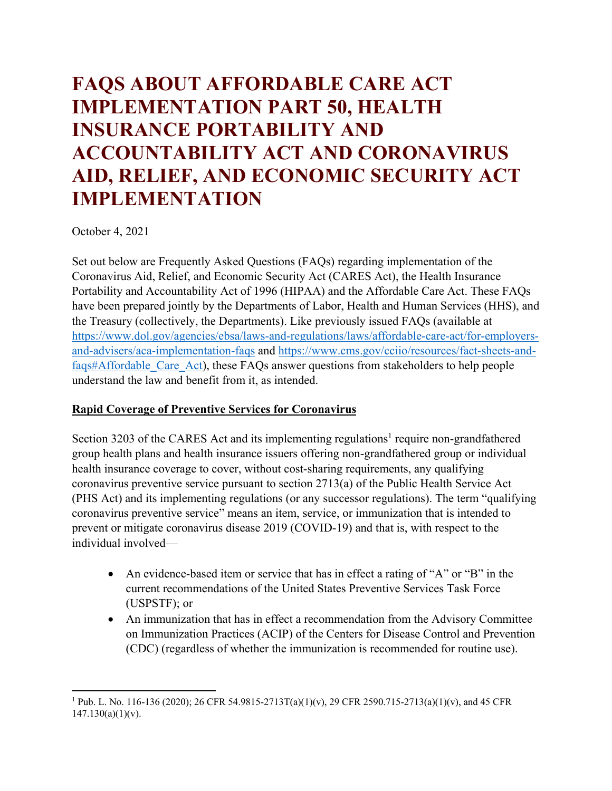# **FAQS ABOUT AFFORDABLE CARE ACT IMPLEMENTATION PART 50, HEALTH INSURANCE PORTABILITY AND ACCOUNTABILITY ACT AND CORONAVIRUS AID, RELIEF, AND ECONOMIC SECURITY ACT IMPLEMENTATION**

October 4, 2021

Set out below are Frequently Asked Questions (FAQs) regarding implementation of the Coronavirus Aid, Relief, and Economic Security Act (CARES Act), the Health Insurance Portability and Accountability Act of 1996 (HIPAA) and the Affordable Care Act. These FAQs have been prepared jointly by the Departments of Labor, Health and Human Services (HHS), and the Treasury (collectively, the Departments). Like previously issued FAQs (available at [https://www.dol.gov/agencies/ebsa/laws-and-regulations/laws/affordable-care-act/for-employers](https://www.dol.gov/agencies/ebsa/laws-and-regulations/laws/affordable-care-act/for-employers-and-advisers/aca-implementation-faqs)[and-advisers/aca-implementation-faqs](https://www.dol.gov/agencies/ebsa/laws-and-regulations/laws/affordable-care-act/for-employers-and-advisers/aca-implementation-faqs) and [https://www.cms.gov/cciio/resources/fact-sheets-and](https://www.cms.gov/cciio/resources/fact-sheets-and-faqs#Affordable_Care_Act)[faqs#Affordable\\_Care\\_Act\)](https://www.cms.gov/cciio/resources/fact-sheets-and-faqs#Affordable_Care_Act), these FAQs answer questions from stakeholders to help people understand the law and benefit from it, as intended.

# **Rapid Coverage of Preventive Services for Coronavirus**

Section 3203 of the CARES Act and its implementing regulations<sup>1</sup> require non-grandfathered group health plans and health insurance issuers offering non-grandfathered group or individual health insurance coverage to cover, without cost-sharing requirements, any qualifying coronavirus preventive service pursuant to section 2713(a) of the Public Health Service Act (PHS Act) and its implementing regulations (or any successor regulations). The term "qualifying coronavirus preventive service" means an item, service, or immunization that is intended to prevent or mitigate coronavirus disease 2019 (COVID-19) and that is, with respect to the individual involved—

- An evidence-based item or service that has in effect a rating of "A" or "B" in the current recommendations of the United States Preventive Services Task Force (USPSTF); or
- An immunization that has in effect a recommendation from the Advisory Committee on Immunization Practices (ACIP) of the Centers for Disease Control and Prevention (CDC) (regardless of whether the immunization is recommended for routine use).

 $\overline{\phantom{a}}$ <sup>1</sup> Pub. L. No. 116-136 (2020); 26 CFR 54.9815-2713T(a)(1)(v), 29 CFR 2590.715-2713(a)(1)(v), and 45 CFR  $147.130(a)(1)(v)$ .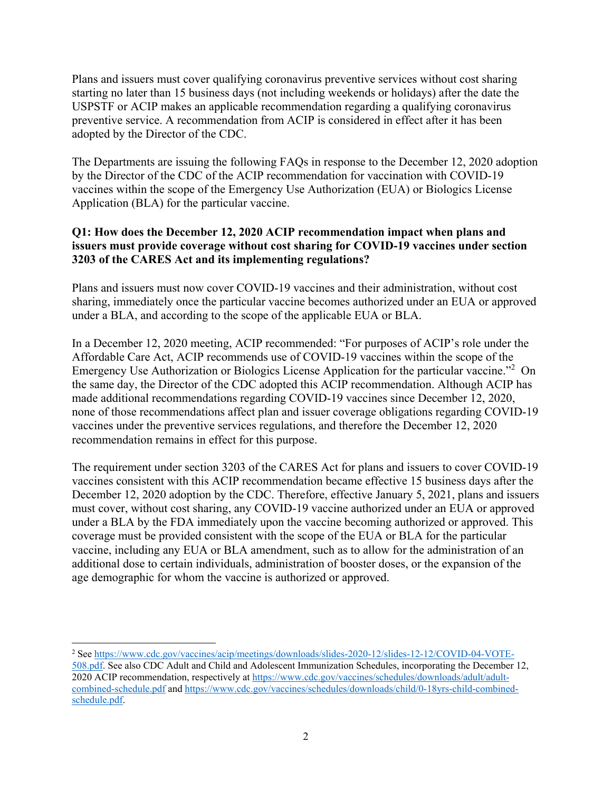Plans and issuers must cover qualifying coronavirus preventive services without cost sharing starting no later than 15 business days (not including weekends or holidays) after the date the USPSTF or ACIP makes an applicable recommendation regarding a qualifying coronavirus preventive service. A recommendation from ACIP is considered in effect after it has been adopted by the Director of the CDC.

The Departments are issuing the following FAQs in response to the December 12, 2020 adoption by the Director of the CDC of the ACIP recommendation for vaccination with COVID-19 vaccines within the scope of the Emergency Use Authorization (EUA) or Biologics License Application (BLA) for the particular vaccine.

# **Q1: How does the December 12, 2020 ACIP recommendation impact when plans and issuers must provide coverage without cost sharing for COVID-19 vaccines under section 3203 of the CARES Act and its implementing regulations?**

Plans and issuers must now cover COVID-19 vaccines and their administration, without cost sharing, immediately once the particular vaccine becomes authorized under an EUA or approved under a BLA, and according to the scope of the applicable EUA or BLA.

In a December 12, 2020 meeting, ACIP recommended: "For purposes of ACIP's role under the Affordable Care Act, ACIP recommends use of COVID-19 vaccines within the scope of the Emergency Use Authorization or Biologics License Application for the particular vaccine."<sup>2</sup> On the same day, the Director of the CDC adopted this ACIP recommendation. Although ACIP has made additional recommendations regarding COVID-19 vaccines since December 12, 2020, none of those recommendations affect plan and issuer coverage obligations regarding COVID-19 vaccines under the preventive services regulations, and therefore the December 12, 2020 recommendation remains in effect for this purpose.

The requirement under section 3203 of the CARES Act for plans and issuers to cover COVID-19 vaccines consistent with this ACIP recommendation became effective 15 business days after the December 12, 2020 adoption by the CDC. Therefore, effective January 5, 2021, plans and issuers must cover, without cost sharing, any COVID-19 vaccine authorized under an EUA or approved under a BLA by the FDA immediately upon the vaccine becoming authorized or approved. This coverage must be provided consistent with the scope of the EUA or BLA for the particular vaccine, including any EUA or BLA amendment, such as to allow for the administration of an additional dose to certain individuals, administration of booster doses, or the expansion of the age demographic for whom the vaccine is authorized or approved.

 $\overline{a}$ 

<sup>&</sup>lt;sup>2</sup> See [https://www.cdc.gov/vaccines/acip/meetings/downloads/slides-2020-12/slides-12-12/COVID-04-VOTE-](https://www.cdc.gov/vaccines/acip/meetings/downloads/slides-2020-12/slides-12-12/COVID-04-VOTE-508.pdf)[508.pdf.](https://www.cdc.gov/vaccines/acip/meetings/downloads/slides-2020-12/slides-12-12/COVID-04-VOTE-508.pdf) See also CDC Adult and Child and Adolescent Immunization Schedules, incorporating the December 12, 2020 ACIP recommendation, respectively a[t https://www.cdc.gov/vaccines/schedules/downloads/adult/adult](https://www.cdc.gov/vaccines/schedules/downloads/adult/adult-combined-schedule.pdf)[combined-schedule.pdf](https://www.cdc.gov/vaccines/schedules/downloads/adult/adult-combined-schedule.pdf) and [https://www.cdc.gov/vaccines/schedules/downloads/child/0-18yrs-child-combined](https://www.cdc.gov/vaccines/schedules/downloads/child/0-18yrs-child-combined-schedule.pdf)[schedule.pdf.](https://www.cdc.gov/vaccines/schedules/downloads/child/0-18yrs-child-combined-schedule.pdf)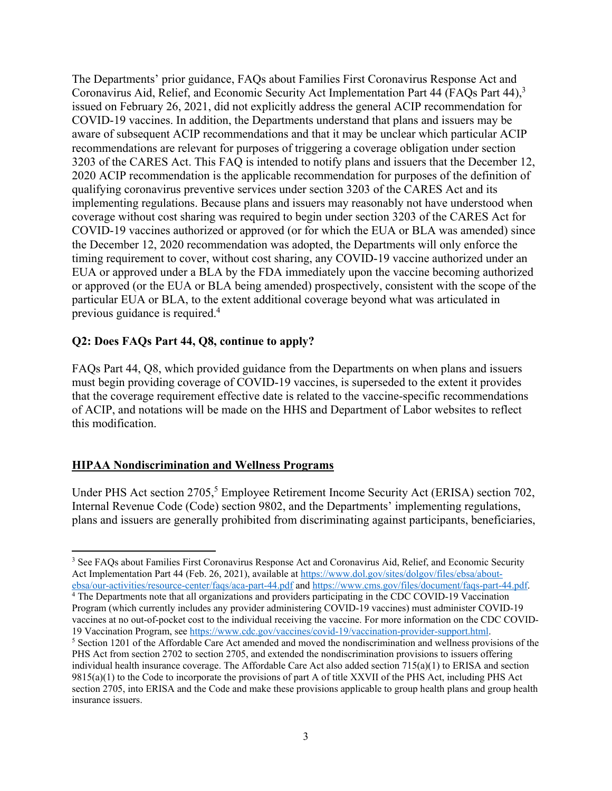The Departments' prior guidance, FAQs about Families First Coronavirus Response Act and Coronavirus Aid, Relief, and Economic Security Act Implementation Part 44 (FAQs Part 44),<sup>3</sup> issued on February 26, 2021, did not explicitly address the general ACIP recommendation for COVID-19 vaccines. In addition, the Departments understand that plans and issuers may be aware of subsequent ACIP recommendations and that it may be unclear which particular ACIP recommendations are relevant for purposes of triggering a coverage obligation under section 3203 of the CARES Act. This FAQ is intended to notify plans and issuers that the December 12, 2020 ACIP recommendation is the applicable recommendation for purposes of the definition of qualifying coronavirus preventive services under section 3203 of the CARES Act and its implementing regulations. Because plans and issuers may reasonably not have understood when coverage without cost sharing was required to begin under section 3203 of the CARES Act for COVID-19 vaccines authorized or approved (or for which the EUA or BLA was amended) since the December 12, 2020 recommendation was adopted, the Departments will only enforce the timing requirement to cover, without cost sharing, any COVID-19 vaccine authorized under an EUA or approved under a BLA by the FDA immediately upon the vaccine becoming authorized or approved (or the EUA or BLA being amended) prospectively, consistent with the scope of the particular EUA or BLA, to the extent additional coverage beyond what was articulated in previous guidance is required. 4

## **Q2: Does FAQs Part 44, Q8, continue to apply?**

FAQs Part 44, Q8, which provided guidance from the Departments on when plans and issuers must begin providing coverage of COVID-19 vaccines, is superseded to the extent it provides that the coverage requirement effective date is related to the vaccine-specific recommendations of ACIP, and notations will be made on the HHS and Department of Labor websites to reflect this modification.

#### **HIPAA Nondiscrimination and Wellness Programs**

 $\overline{\phantom{a}}$ 

Under PHS Act section 2705,<sup>5</sup> Employee Retirement Income Security Act (ERISA) section 702, Internal Revenue Code (Code) section 9802, and the Departments' implementing regulations, plans and issuers are generally prohibited from discriminating against participants, beneficiaries,

<sup>&</sup>lt;sup>3</sup> See FAQs about Families First Coronavirus Response Act and Coronavirus Aid, Relief, and Economic Security Act Implementation Part 44 (Feb. 26, 2021), available at [https://www.dol.gov/sites/dolgov/files/ebsa/about](https://www.dol.gov/sites/dolgov/files/ebsa/about-ebsa/our-activities/resource-center/faqs/aca-part-44.pdf)ebsa/our-activities/resource-center/faqs/aca-part-44.pdf [a](https://www.dol.gov/sites/dolgov/files/ebsa/about-ebsa/our-activities/resource-center/faqs/aca-part-44.pdf)n[d https://www.cms.gov/files/document/faqs-part-44.pdf.](https://www.cms.gov/files/document/faqs-part-44.pdf) 4 The Departments note that all organizations and providers participating in the CDC COVID-19 Vaccination

Program (which currently includes any provider administering COVID-19 vaccines) must administer COVID-19 vaccines at no out-of-pocket cost to the individual receiving the vaccine. For more information on the CDC COVID-

<sup>19</sup> Vaccination Program, see [https://www.cdc.gov/vaccines/covid-19/vaccination-provider-support.html.](https://www.cdc.gov/vaccines/covid-19/vaccination-provider-support.html)<br><sup>5</sup> Section 1201 of the Affordable Care Act amended and moved the nondiscrimination and wellness provisions of the PHS Act from section 2702 to section 2705, and extended the nondiscrimination provisions to issuers offering individual health insurance coverage. The Affordable Care Act also added section 715(a)(1) to ERISA and section 9815(a)(1) to the Code to incorporate the provisions of part A of title XXVII of the PHS Act, including PHS Act section 2705, into ERISA and the Code and make these provisions applicable to group health plans and group health insurance issuers.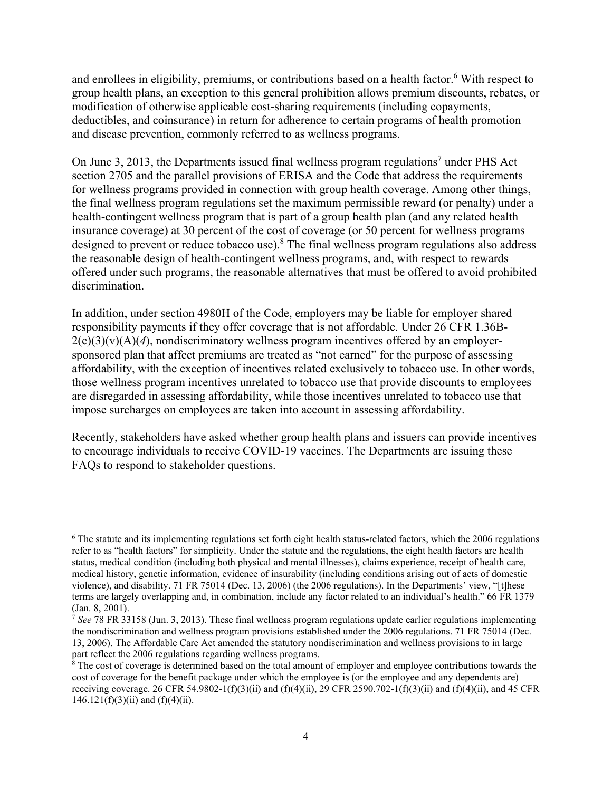and enrollees in eligibility, premiums, or contributions based on a health factor.<sup>6</sup> With respect to group health plans, an exception to this general prohibition allows premium discounts, rebates, or modification of otherwise applicable cost-sharing requirements (including copayments, deductibles, and coinsurance) in return for adherence to certain programs of health promotion and disease prevention, commonly referred to as wellness programs.

On June 3, 2013, the Departments issued final wellness program regulations<sup>7</sup> under PHS Act section 2705 and the parallel provisions of ERISA and the Code that address the requirements for wellness programs provided in connection with group health coverage. Among other things, the final wellness program regulations set the maximum permissible reward (or penalty) under a health-contingent wellness program that is part of a group health plan (and any related health insurance coverage) at 30 percent of the cost of coverage (or 50 percent for wellness programs designed to prevent or reduce tobacco use). $8$  The final wellness program regulations also address the reasonable design of health-contingent wellness programs, and, with respect to rewards offered under such programs, the reasonable alternatives that must be offered to avoid prohibited discrimination.

In addition, under section 4980H of the Code, employers may be liable for employer shared responsibility payments if they offer coverage that is not affordable. Under 26 CFR 1.36B- $2(c)(3)(v)(A)(4)$ , nondiscriminatory wellness program incentives offered by an employersponsored plan that affect premiums are treated as "not earned" for the purpose of assessing affordability, with the exception of incentives related exclusively to tobacco use. In other words, those wellness program incentives unrelated to tobacco use that provide discounts to employees are disregarded in assessing affordability, while those incentives unrelated to tobacco use that impose surcharges on employees are taken into account in assessing affordability.

Recently, stakeholders have asked whether group health plans and issuers can provide incentives to encourage individuals to receive COVID-19 vaccines. The Departments are issuing these FAQs to respond to stakeholder questions.

l <sup>6</sup> The statute and its implementing regulations set forth eight health status-related factors, which the 2006 regulations refer to as "health factors" for simplicity. Under the statute and the regulations, the eight health factors are health status, medical condition (including both physical and mental illnesses), claims experience, receipt of health care, medical history, genetic information, evidence of insurability (including conditions arising out of acts of domestic violence), and disability. 71 FR 75014 (Dec. 13, 2006) (the 2006 regulations). In the Departments' view, "[t]hese terms are largely overlapping and, in combination, include any factor related to an individual's health." 66 FR 1379 (Jan. 8, 2001).

<sup>7</sup> *See* 78 FR 33158 (Jun. 3, 2013). These final wellness program regulations update earlier regulations implementing the nondiscrimination and wellness program provisions established under the 2006 regulations. 71 FR 75014 (Dec. 13, 2006). The Affordable Care Act amended the statutory nondiscrimination and wellness provisions to in large part reflect the 2006 regulations regarding wellness programs.

 $\frac{8}{3}$  The cost of coverage is determined based on the total amount of employer and employee contributions towards the cost of coverage for the benefit package under which the employee is (or the employee and any dependents are) receiving coverage. 26 CFR 54.9802-1(f)(3)(ii) and (f)(4)(ii), 29 CFR 2590.702-1(f)(3)(ii) and (f)(4)(ii), and 45 CFR  $146.121(f)(3)(ii)$  and  $(f)(4)(ii)$ .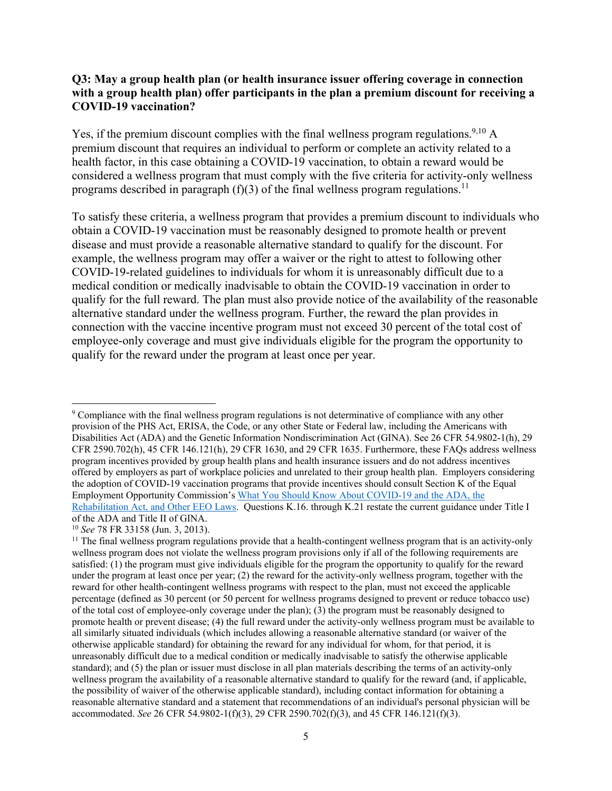#### **Q3: May a group health plan (or health insurance issuer offering coverage in connection with a group health plan) offer participants in the plan a premium discount for receiving a COVID-19 vaccination?**

Yes, if the premium discount complies with the final wellness program regulations.<sup>9,10</sup> A premium discount that requires an individual to perform or complete an activity related to a health factor, in this case obtaining a COVID-19 vaccination, to obtain a reward would be considered a wellness program that must comply with the five criteria for activity-only wellness programs described in paragraph  $(f)(3)$  of the final wellness program regulations.<sup>11</sup>

To satisfy these criteria, a wellness program that provides a premium discount to individuals who obtain a COVID-19 vaccination must be reasonably designed to promote health or prevent disease and must provide a reasonable alternative standard to qualify for the discount. For example, the wellness program may offer a waiver or the right to attest to following other COVID-19-related guidelines to individuals for whom it is unreasonably difficult due to a medical condition or medically inadvisable to obtain the COVID-19 vaccination in order to qualify for the full reward. The plan must also provide notice of the availability of the reasonable alternative standard under the wellness program. Further, the reward the plan provides in connection with the vaccine incentive program must not exceed 30 percent of the total cost of employee-only coverage and must give individuals eligible for the program the opportunity to qualify for the reward under the program at least once per year.

 $\overline{a}$ <sup>9</sup> Compliance with the final wellness program regulations is not determinative of compliance with any other provision of the PHS Act, ERISA, the Code, or any other State or Federal law, including the Americans with Disabilities Act (ADA) and the Genetic Information Nondiscrimination Act (GINA). See 26 CFR 54.9802-1(h), 29 CFR 2590.702(h), 45 CFR 146.121(h), 29 CFR 1630, and 29 CFR 1635. Furthermore, these FAQs address wellness program incentives provided by group health plans and health insurance issuers and do not address incentives offered by employers as part of workplace policies and unrelated to their group health plan. Employers considering the adoption of COVID-19 vaccination programs that provide incentives should consult Section K of the Equal Employment Opportunity Commission's [What You Should Know About COVID-19](https://www.eeoc.gov/wysk/what-you-should-know-about-covid-19-and-ada-rehabilitation-act-and-other-eeo-laws) and the ADA, the [Rehabilitation Act, and Other EEO Laws.](https://www.eeoc.gov/wysk/what-you-should-know-about-covid-19-and-ada-rehabilitation-act-and-other-eeo-laws) Questions K.16. through K.21 restate the current guidance under Title I of the ADA and Title II of GINA.

<sup>10</sup> *See* 78 FR 33158 (Jun. 3, 2013).

<sup>&</sup>lt;sup>11</sup> The final wellness program regulations provide that a health-contingent wellness program that is an activity-only wellness program does not violate the wellness program provisions only if all of the following requirements are satisfied: (1) the program must give individuals eligible for the program the opportunity to qualify for the reward under the program at least once per year; (2) the reward for the activity-only wellness program, together with the reward for other health-contingent wellness programs with respect to the plan, must not exceed the applicable percentage (defined as 30 percent (or 50 percent for wellness programs designed to prevent or reduce tobacco use) of the total cost of employee-only coverage under the plan); (3) the program must be reasonably designed to promote health or prevent disease; (4) the full reward under the activity-only wellness program must be available to all similarly situated individuals (which includes allowing a reasonable alternative standard (or waiver of the otherwise applicable standard) for obtaining the reward for any individual for whom, for that period, it is unreasonably difficult due to a medical condition or medically inadvisable to satisfy the otherwise applicable standard); and (5) the plan or issuer must disclose in all plan materials describing the terms of an activity-only wellness program the availability of a reasonable alternative standard to qualify for the reward (and, if applicable, the possibility of waiver of the otherwise applicable standard), including contact information for obtaining a reasonable alternative standard and a statement that recommendations of an individual's personal physician will be accommodated. *See* 26 CFR 54.9802-1(f)(3), 29 CFR 2590.702(f)(3), and 45 CFR 146.121(f)(3).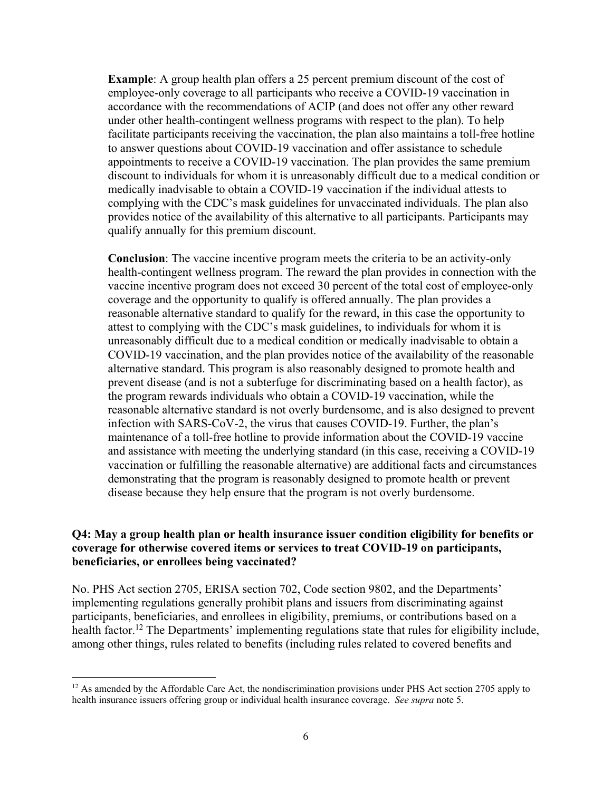**Example**: A group health plan offers a 25 percent premium discount of the cost of employee-only coverage to all participants who receive a COVID-19 vaccination in accordance with the recommendations of ACIP (and does not offer any other reward under other health-contingent wellness programs with respect to the plan). To help facilitate participants receiving the vaccination, the plan also maintains a toll-free hotline to answer questions about COVID-19 vaccination and offer assistance to schedule appointments to receive a COVID-19 vaccination. The plan provides the same premium discount to individuals for whom it is unreasonably difficult due to a medical condition or medically inadvisable to obtain a COVID-19 vaccination if the individual attests to complying with the CDC's mask guidelines for unvaccinated individuals. The plan also provides notice of the availability of this alternative to all participants. Participants may qualify annually for this premium discount.

**Conclusion**: The vaccine incentive program meets the criteria to be an activity-only health-contingent wellness program. The reward the plan provides in connection with the vaccine incentive program does not exceed 30 percent of the total cost of employee-only coverage and the opportunity to qualify is offered annually. The plan provides a reasonable alternative standard to qualify for the reward, in this case the opportunity to attest to complying with the CDC's mask guidelines, to individuals for whom it is unreasonably difficult due to a medical condition or medically inadvisable to obtain a COVID-19 vaccination, and the plan provides notice of the availability of the reasonable alternative standard. This program is also reasonably designed to promote health and prevent disease (and is not a subterfuge for discriminating based on a health factor), as the program rewards individuals who obtain a COVID-19 vaccination, while the reasonable alternative standard is not overly burdensome, and is also designed to prevent infection with SARS-CoV-2, the virus that causes COVID-19. Further, the plan's maintenance of a toll-free hotline to provide information about the COVID-19 vaccine and assistance with meeting the underlying standard (in this case, receiving a COVID-19 vaccination or fulfilling the reasonable alternative) are additional facts and circumstances demonstrating that the program is reasonably designed to promote health or prevent disease because they help ensure that the program is not overly burdensome.

#### **Q4: May a group health plan or health insurance issuer condition eligibility for benefits or coverage for otherwise covered items or services to treat COVID-19 on participants, beneficiaries, or enrollees being vaccinated?**

No. PHS Act section 2705, ERISA section 702, Code section 9802, and the Departments' implementing regulations generally prohibit plans and issuers from discriminating against participants, beneficiaries, and enrollees in eligibility, premiums, or contributions based on a health factor.<sup>12</sup> The Departments' implementing regulations state that rules for eligibility include, among other things, rules related to benefits (including rules related to covered benefits and

 $\overline{a}$ 

<sup>&</sup>lt;sup>12</sup> As amended by the Affordable Care Act, the nondiscrimination provisions under PHS Act section 2705 apply to health insurance issuers offering group or individual health insurance coverage. *See supra* note 5.